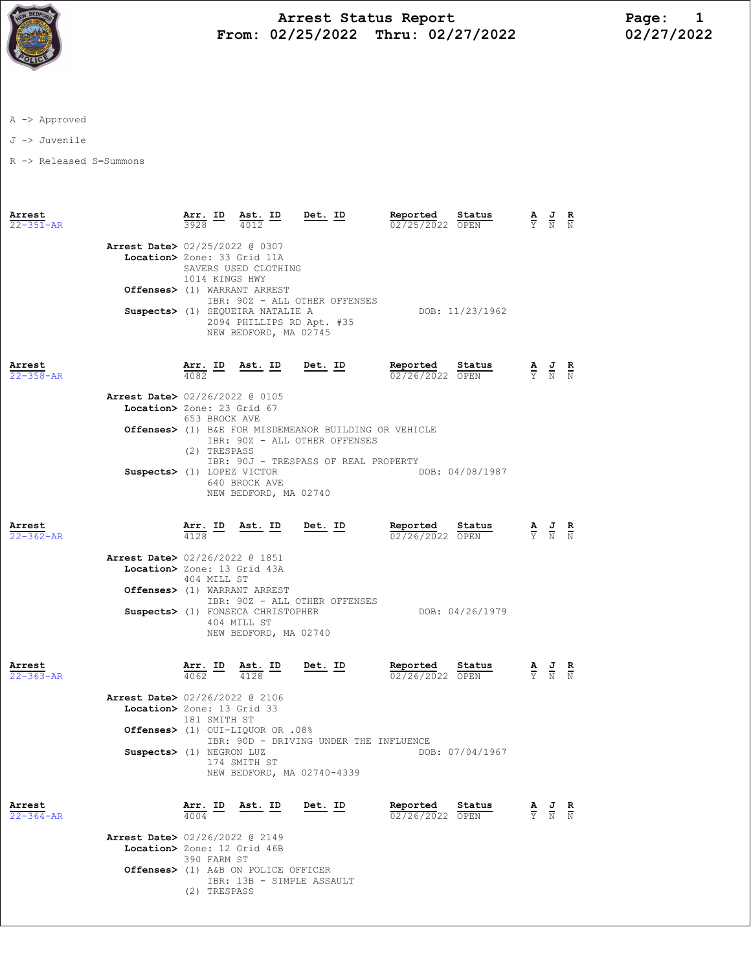

## Arrest Status Report Page: 1 From: 02/25/2022 Thru: 02/27/2022

A -> Approved

J -> Juvenile

R -> Released S=Summons

| Arrest<br>$22 - 351 - AR$ |                                                                                                         | Arr. ID Ast. ID<br>3928         | 4012                                                                                   | Det. ID                                                                                | Reported<br>02/25/2022 OPEN | Status                    |                                 | $\frac{\mathbf{A}}{\mathbf{Y}}$ $\frac{\mathbf{J}}{\mathbf{N}}$ $\frac{\mathbf{R}}{\mathbf{N}}$ |  |
|---------------------------|---------------------------------------------------------------------------------------------------------|---------------------------------|----------------------------------------------------------------------------------------|----------------------------------------------------------------------------------------|-----------------------------|---------------------------|---------------------------------|-------------------------------------------------------------------------------------------------|--|
|                           | Arrest Date> 02/25/2022 @ 0307<br>Location> Zone: 33 Grid 11A<br>Offenses> (1) WARRANT ARREST           | 1014 KINGS HWY                  | SAVERS USED CLOTHING                                                                   |                                                                                        |                             |                           |                                 |                                                                                                 |  |
|                           |                                                                                                         |                                 | Suspects> (1) SEQUEIRA NATALIE A<br>2094 PHILLIPS RD Apt. #35<br>NEW BEDFORD, MA 02745 | IBR: 90Z - ALL OTHER OFFENSES                                                          |                             | DOB: 11/23/1962           |                                 |                                                                                                 |  |
| Arrest<br>$22 - 358 - AR$ |                                                                                                         | $\frac{\texttt{Arr.}}{4082}$ ID |                                                                                        | <u>Ast. ID Det. ID</u>                                                                 | Reported<br>02/26/2022 OPEN | Status                    |                                 | $\frac{\mathbf{A}}{\mathbf{Y}}$ $\frac{\mathbf{J}}{\mathbf{N}}$ $\frac{\mathbf{R}}{\mathbf{N}}$ |  |
|                           | Arrest Date> 02/26/2022 @ 0105<br>Location> Zone: 23 Grid 67                                            | 653 BROCK AVE                   |                                                                                        | Offenses> (1) B&E FOR MISDEMEANOR BUILDING OR VEHICLE<br>IBR: 90Z - ALL OTHER OFFENSES |                             |                           |                                 |                                                                                                 |  |
|                           | Suspects> (1) LOPEZ VICTOR                                                                              | (2) TRESPASS                    | 640 BROCK AVE<br>NEW BEDFORD, MA 02740                                                 | IBR: 90J - TRESPASS OF REAL PROPERTY                                                   |                             | DOB: 04/08/1987           |                                 |                                                                                                 |  |
| Arrest<br>$22 - 362 - AR$ |                                                                                                         | <u>Arr. ID</u><br>4128          | Ast. ID Det. ID                                                                        |                                                                                        | Reported<br>02/26/2022 OPEN | Status                    |                                 | $\frac{\mathbf{A}}{\mathbf{Y}}$ $\frac{\mathbf{J}}{\mathbf{N}}$ $\frac{\mathbf{R}}{\mathbf{N}}$ |  |
|                           | <b>Arrest Date&gt;</b> 02/26/2022 @ 1851<br>Location> Zone: 13 Grid 43A<br>Offenses> (1) WARRANT ARREST | 404 MILL ST                     | Suspects> (1) FONSECA CHRISTOPHER<br>404 MILL ST<br>NEW BEDFORD, MA 02740              | IBR: 90Z - ALL OTHER OFFENSES                                                          |                             | DOB: 04/26/1979           |                                 |                                                                                                 |  |
| Arrest<br>$22 - 363 - AR$ |                                                                                                         | <u>Arr. ID</u><br>4062          | Ast. ID<br>4128                                                                        | <u>Det. ID</u>                                                                         | Reported                    | Status<br>02/26/2022 OPEN |                                 | $\frac{\mathbf{A}}{\mathbf{Y}}$ $\frac{\mathbf{J}}{\mathbf{N}}$ $\frac{\mathbf{R}}{\mathbf{N}}$ |  |
|                           | Arrest Date> 02/26/2022 @ 2106<br>Location> Zone: 13 Grid 33<br>Suspects> (1) NEGRON LUZ                | 181 SMITH ST                    | 0ffenses> (1) OUI-LIQUOR OR .08%<br>174 SMITH ST                                       | IBR: 90D - DRIVING UNDER THE INFLUENCE<br>NEW BEDFORD, MA 02740-4339                   |                             | DOB: 07/04/1967           |                                 |                                                                                                 |  |
| Arrest<br>$22 - 364 - AR$ |                                                                                                         | Arr. ID<br>4004                 | Ast. ID                                                                                | Det. ID                                                                                | Reported<br>02/26/2022 OPEN | Status                    | $\frac{\mathbf{A}}{\mathbf{Y}}$ | $\frac{J}{N}$ $\frac{R}{N}$                                                                     |  |
|                           | Arrest Date> 02/26/2022 @ 2149<br>Location> Zone: 12 Grid 46B                                           | 390 FARM ST<br>(2) TRESPASS     | Offenses> (1) A&B ON POLICE OFFICER<br>IBR: 13B - SIMPLE ASSAULT                       |                                                                                        |                             |                           |                                 |                                                                                                 |  |